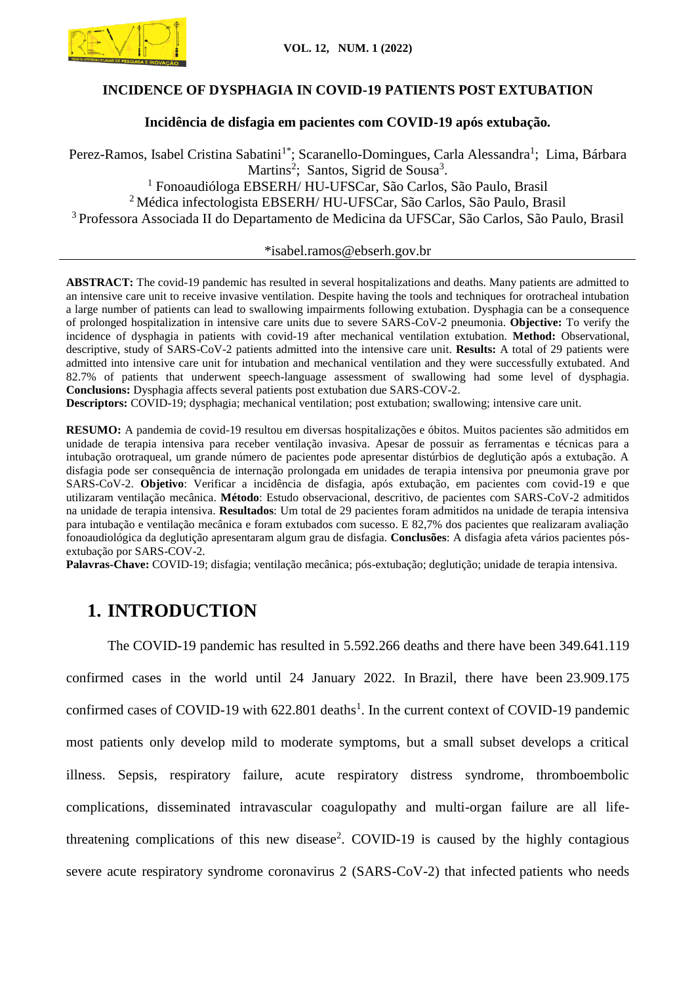

# **INCIDENCE OF DYSPHAGIA IN COVID-19 PATIENTS POST EXTUBATION**

# **Incidência de disfagia em pacientes com COVID-19 após extubação***.*

Perez-Ramos, Isabel Cristina Sabatini<sup>1\*</sup>; Scaranello-Domingues, Carla Alessandra<sup>1</sup>; Lima, Bárbara Martins<sup>2</sup>; Santos, Sigrid de Sousa<sup>3</sup>. <sup>1</sup> Fonoaudióloga EBSERH/ HU-UFSCar, São Carlos, São Paulo, Brasil <sup>2</sup>Médica infectologista EBSERH/ HU-UFSCar, São Carlos, São Paulo, Brasil <sup>3</sup>Professora Associada II do Departamento de Medicina da UFSCar, São Carlos, São Paulo, Brasil

#### \*isabel.ramos@ebserh.gov.br

**ABSTRACT:** The covid-19 pandemic has resulted in several hospitalizations and deaths. Many patients are admitted to an intensive care unit to receive invasive ventilation. Despite having the tools and techniques for orotracheal intubation a large number of patients can lead to swallowing impairments following extubation. Dysphagia can be a consequence of prolonged hospitalization in intensive care units due to severe SARS-CoV-2 pneumonia. **Objective:** To verify the incidence of dysphagia in patients with covid-19 after mechanical ventilation extubation. **Method:** Observational, descriptive, study of SARS-CoV-2 patients admitted into the intensive care unit. **Results:** A total of 29 patients were admitted into intensive care unit for intubation and mechanical ventilation and they were successfully extubated. And 82.7% of patients that underwent speech-language assessment of swallowing had some level of dysphagia. **Conclusions:** Dysphagia affects several patients post extubation due SARS-COV-2.

**Descriptors:** COVID-19; dysphagia; mechanical ventilation; post extubation; swallowing; intensive care unit.

**RESUMO:** A pandemia de covid-19 resultou em diversas hospitalizações e óbitos. Muitos pacientes são admitidos em unidade de terapia intensiva para receber ventilação invasiva. Apesar de possuir as ferramentas e técnicas para a intubação orotraqueal, um grande número de pacientes pode apresentar distúrbios de deglutição após a extubação. A disfagia pode ser consequência de internação prolongada em unidades de terapia intensiva por pneumonia grave por SARS-CoV-2. **Objetivo**: Verificar a incidência de disfagia, após extubação, em pacientes com covid-19 e que utilizaram ventilação mecânica. **Método**: Estudo observacional, descritivo, de pacientes com SARS-CoV-2 admitidos na unidade de terapia intensiva. **Resultados**: Um total de 29 pacientes foram admitidos na unidade de terapia intensiva para intubação e ventilação mecânica e foram extubados com sucesso. E 82,7% dos pacientes que realizaram avaliação fonoaudiológica da deglutição apresentaram algum grau de disfagia. **Conclusões**: A disfagia afeta vários pacientes pósextubação por SARS-COV-2.

**Palavras-Chave:** COVID-19; disfagia; ventilação mecânica; pós-extubação; deglutição; unidade de terapia intensiva.

# **1. INTRODUCTION**

The COVID-19 pandemic has resulted in 5.592.266 deaths and there have been 349.641.119 confirmed cases in the world until 24 January 2022. In Brazil, there have been 23.909.175 confirmed cases of COVID-19 with  $622.801$  deaths<sup>1</sup>. In the current context of COVID-19 pandemic most patients only develop mild to moderate symptoms, but a small subset develops a critical illness. Sepsis, respiratory failure, acute respiratory distress syndrome, thromboembolic complications, disseminated intravascular coagulopathy and multi-organ failure are all lifethreatening complications of this new disease<sup>2</sup>. COVID-19 is caused by the highly contagious severe acute respiratory syndrome coronavirus 2 (SARS-CoV-2) that infected patients who needs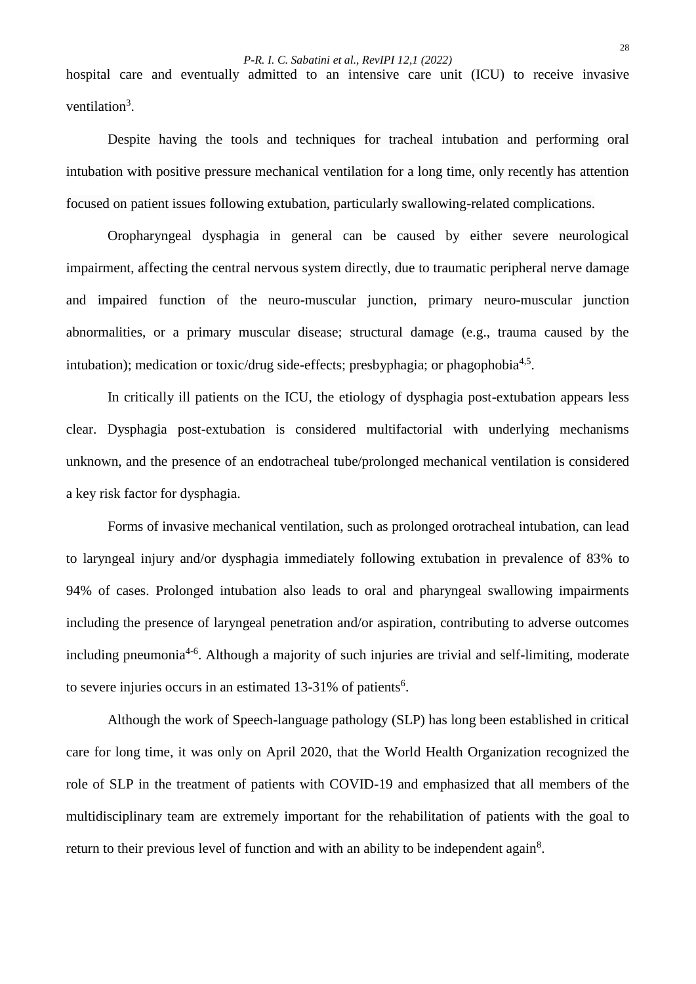hospital care and eventually admitted to an intensive care unit (ICU) to receive invasive ventilation<sup>3</sup>.

Despite having the tools and techniques for tracheal intubation and performing oral intubation with positive pressure mechanical ventilation for a long time, only recently has attention focused on patient issues following extubation, particularly swallowing-related complications.

Oropharyngeal dysphagia in general can be caused by either severe neurological impairment, affecting the central nervous system directly, due to traumatic peripheral nerve damage and impaired function of the neuro-muscular junction, primary neuro-muscular junction abnormalities, or a primary muscular disease; structural damage (e.g., trauma caused by the intubation); medication or toxic/drug side-effects; presbyphagia; or phagophobia<sup>4,5</sup>.

In critically ill patients on the ICU, the etiology of dysphagia post-extubation appears less clear. Dysphagia post-extubation is considered multifactorial with underlying mechanisms unknown, and the presence of an endotracheal tube/prolonged mechanical ventilation is considered a key risk factor for dysphagia.

Forms of invasive mechanical ventilation, such as prolonged orotracheal intubation, can lead to laryngeal injury and/or dysphagia immediately following extubation in prevalence of 83% to 94% of cases. Prolonged intubation also leads to oral and pharyngeal swallowing impairments including the presence of laryngeal penetration and/or aspiration, contributing to adverse outcomes including pneumonia<sup>4-6</sup>. Although a majority of such injuries are trivial and self-limiting, moderate to severe injuries occurs in an estimated  $13-31\%$  of patients<sup>6</sup>.

Although the work of Speech-language pathology (SLP) has long been established in critical care for long time, it was only on April 2020, that the World Health Organization recognized the role of SLP in the treatment of patients with COVID-19 and emphasized that all members of the multidisciplinary team are extremely important for the rehabilitation of patients with the goal to return to their previous level of function and with an ability to be independent again<sup>8</sup>.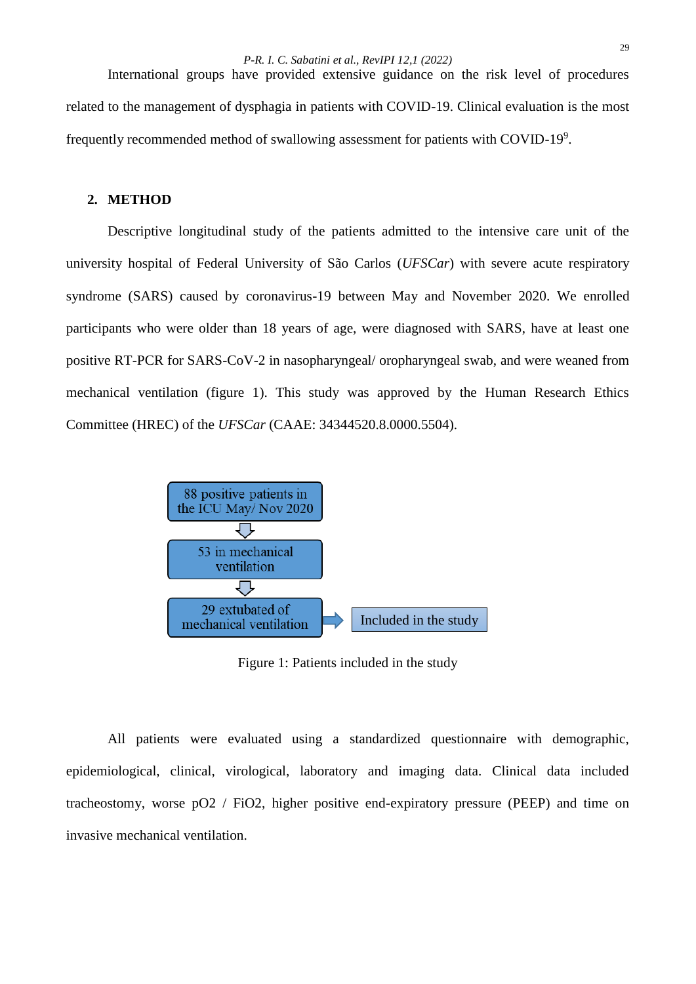*P-R. I. C. Sabatini et al., RevIPI 12,1 (2022)*

International groups have provided extensive guidance on the risk level of procedures related to the management of dysphagia in patients with COVID-19. Clinical evaluation is the most frequently recommended method of swallowing assessment for patients with COVID-19<sup>9</sup>.

## **2. METHOD**

Descriptive longitudinal study of the patients admitted to the intensive care unit of the university hospital of Federal University of São Carlos (*UFSCar*) with severe acute respiratory syndrome (SARS) caused by coronavirus-19 between May and November 2020. We enrolled participants who were older than 18 years of age, were diagnosed with SARS, have at least one positive RT-PCR for SARS-CoV-2 in nasopharyngeal/ oropharyngeal swab, and were weaned from mechanical ventilation (figure 1). This study was approved by the Human Research Ethics Committee (HREC) of the *UFSCar* (CAAE: 34344520.8.0000.5504).



Figure 1: Patients included in the study

All patients were evaluated using a standardized questionnaire with demographic, epidemiological, clinical, virological, laboratory and imaging data. Clinical data included tracheostomy, worse pO2 / FiO2, higher positive end-expiratory pressure (PEEP) and time on invasive mechanical ventilation.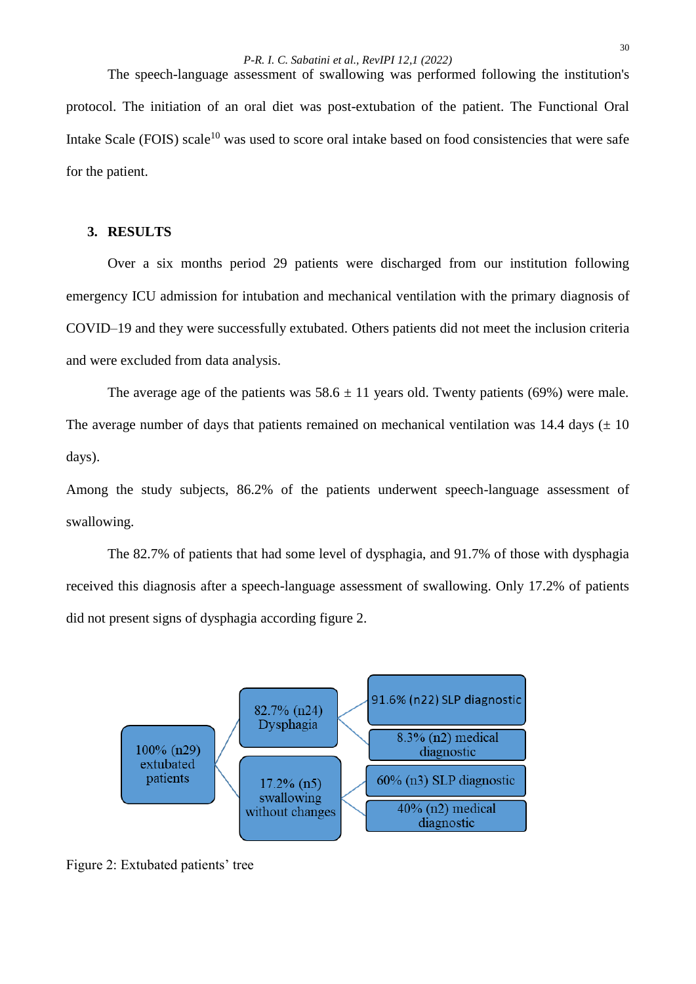The speech-language assessment of swallowing was performed following the institution's protocol. The initiation of an oral diet was post-extubation of the patient. The Functional Oral Intake Scale (FOIS) scale<sup>10</sup> was used to score oral intake based on food consistencies that were safe for the patient.

### **3. RESULTS**

Over a six months period 29 patients were discharged from our institution following emergency ICU admission for intubation and mechanical ventilation with the primary diagnosis of COVID–19 and they were successfully extubated. Others patients did not meet the inclusion criteria and were excluded from data analysis.

The average age of the patients was  $58.6 \pm 11$  years old. Twenty patients (69%) were male. The average number of days that patients remained on mechanical ventilation was 14.4 days  $(\pm 10)$ days).

Among the study subjects, 86.2% of the patients underwent speech-language assessment of swallowing.

The 82.7% of patients that had some level of dysphagia, and 91.7% of those with dysphagia received this diagnosis after a speech-language assessment of swallowing. Only 17.2% of patients did not present signs of dysphagia according figure 2.



Figure 2: Extubated patients' tree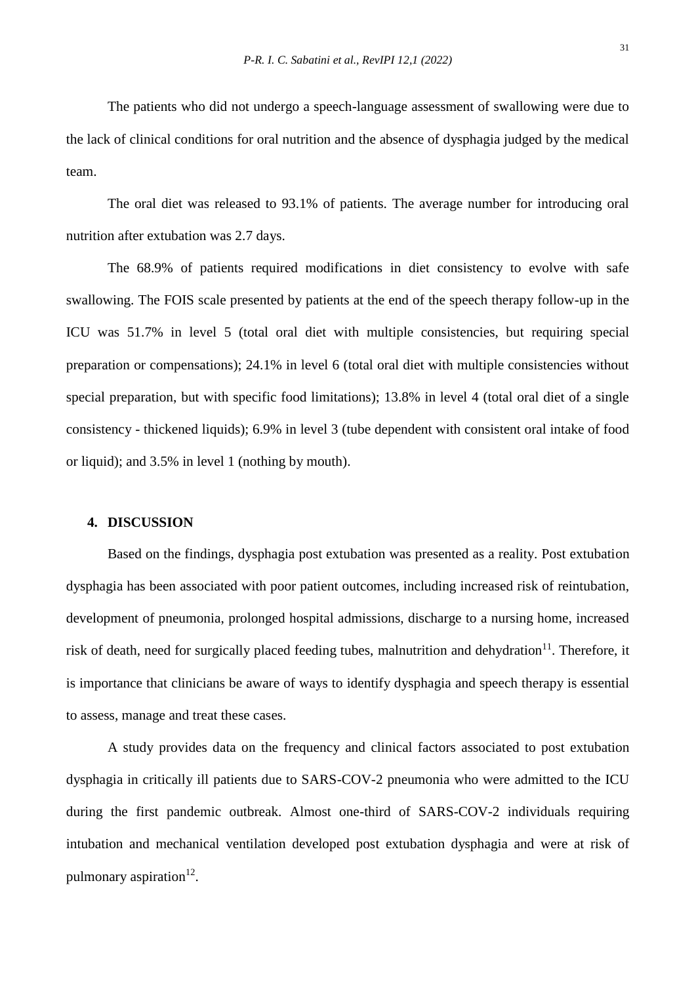The patients who did not undergo a speech-language assessment of swallowing were due to the lack of clinical conditions for oral nutrition and the absence of dysphagia judged by the medical team.

The oral diet was released to 93.1% of patients. The average number for introducing oral nutrition after extubation was 2.7 days.

The 68.9% of patients required modifications in diet consistency to evolve with safe swallowing. The FOIS scale presented by patients at the end of the speech therapy follow-up in the ICU was 51.7% in level 5 (total oral diet with multiple consistencies, but requiring special preparation or compensations); 24.1% in level 6 (total oral diet with multiple consistencies without special preparation, but with specific food limitations); 13.8% in level 4 (total oral diet of a single consistency - thickened liquids); 6.9% in level 3 (tube dependent with consistent oral intake of food or liquid); and 3.5% in level 1 (nothing by mouth).

#### **4. DISCUSSION**

Based on the findings, dysphagia post extubation was presented as a reality. Post extubation dysphagia has been associated with poor patient outcomes, including increased risk of reintubation, development of pneumonia, prolonged hospital admissions, discharge to a nursing home, increased risk of death, need for surgically placed feeding tubes, malnutrition and dehydration $11$ . Therefore, it is importance that clinicians be aware of ways to identify dysphagia and speech therapy is essential to assess, manage and treat these cases.

A study provides data on the frequency and clinical factors associated to post extubation dysphagia in critically ill patients due to SARS-COV-2 pneumonia who were admitted to the ICU during the first pandemic outbreak. Almost one-third of SARS-COV-2 individuals requiring intubation and mechanical ventilation developed post extubation dysphagia and were at risk of pulmonary aspiration<sup>12</sup>.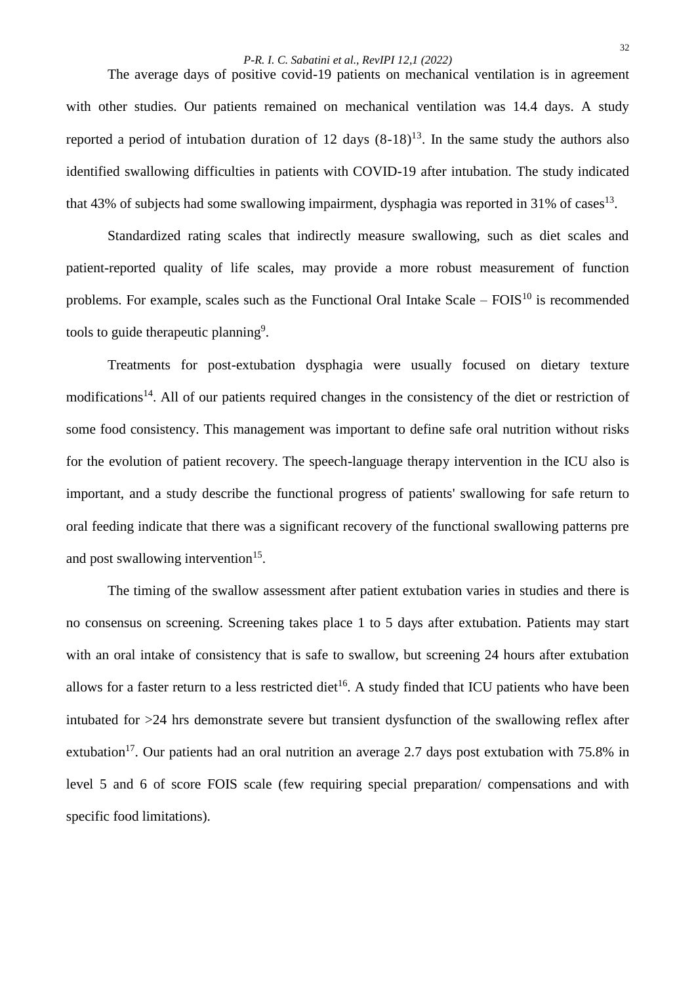#### *P-R. I. C. Sabatini et al., RevIPI 12,1 (2022)*

The average days of positive covid-19 patients on mechanical ventilation is in agreement with other studies. Our patients remained on mechanical ventilation was 14.4 days. A study reported a period of intubation duration of 12 days  $(8-18)^{13}$ . In the same study the authors also identified swallowing difficulties in patients with COVID-19 after intubation. The study indicated that 43% of subjects had some swallowing impairment, dysphagia was reported in 31% of cases<sup>13</sup>.

Standardized rating scales that indirectly measure swallowing, such as diet scales and patient-reported quality of life scales, may provide a more robust measurement of function problems. For example, scales such as the Functional Oral Intake Scale –  $FOIS<sup>10</sup>$  is recommended tools to guide therapeutic planning<sup>9</sup>.

Treatments for post-extubation dysphagia were usually focused on dietary texture modifications<sup>14</sup>. All of our patients required changes in the consistency of the diet or restriction of some food consistency. This management was important to define safe oral nutrition without risks for the evolution of patient recovery. The speech-language therapy intervention in the ICU also is important, and a study describe the functional progress of patients' swallowing for safe return to oral feeding indicate that there was a significant recovery of the functional swallowing patterns pre and post swallowing intervention<sup>15</sup>.

The timing of the swallow assessment after patient extubation varies in studies and there is no consensus on screening. Screening takes place 1 to 5 days after extubation. Patients may start with an oral intake of consistency that is safe to swallow, but screening 24 hours after extubation allows for a faster return to a less restricted diet<sup>16</sup>. A study finded that ICU patients who have been intubated for >24 hrs demonstrate severe but transient dysfunction of the swallowing reflex after extubation<sup>17</sup>. Our patients had an oral nutrition an average 2.7 days post extubation with 75.8% in level 5 and 6 of score FOIS scale (few requiring special preparation/ compensations and with specific food limitations).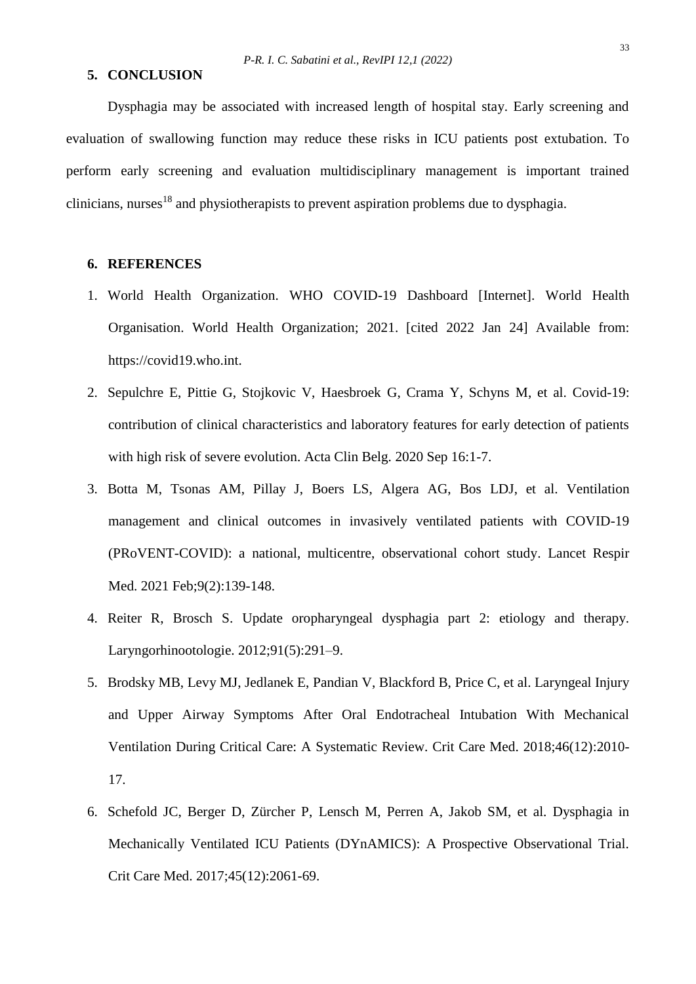#### **5. CONCLUSION**

Dysphagia may be associated with increased length of hospital stay. Early screening and evaluation of swallowing function may reduce these risks in ICU patients post extubation. To perform early screening and evaluation multidisciplinary management is important trained clinicians, nurses<sup>18</sup> and physiotherapists to prevent aspiration problems due to dysphagia.

# **6. REFERENCES**

- 1. World Health Organization. WHO COVID-19 Dashboard [Internet]. World Health Organisation. World Health Organization; 2021. [cited 2022 Jan 24] Available from: https://covid19.who.int.
- 2. Sepulchre E, Pittie G, Stojkovic V, Haesbroek G, Crama Y, Schyns M, et al. Covid-19: contribution of clinical characteristics and laboratory features for early detection of patients with high risk of severe evolution. Acta Clin Belg. 2020 Sep 16:1-7.
- 3. Botta M, Tsonas AM, Pillay J, Boers LS, Algera AG, Bos LDJ, et al. Ventilation management and clinical outcomes in invasively ventilated patients with COVID-19 (PRoVENT-COVID): a national, multicentre, observational cohort study. Lancet Respir Med. 2021 Feb;9(2):139-148.
- 4. Reiter R, Brosch S. Update oropharyngeal dysphagia part 2: etiology and therapy. Laryngorhinootologie. 2012;91(5):291–9.
- 5. Brodsky MB, Levy MJ, Jedlanek E, Pandian V, Blackford B, Price C, et al. Laryngeal Injury and Upper Airway Symptoms After Oral Endotracheal Intubation With Mechanical Ventilation During Critical Care: A Systematic Review. Crit Care Med. 2018;46(12):2010- 17.
- 6. Schefold JC, Berger D, Zürcher P, Lensch M, Perren A, Jakob SM, et al. Dysphagia in Mechanically Ventilated ICU Patients (DYnAMICS): A Prospective Observational Trial. Crit Care Med. 2017;45(12):2061-69.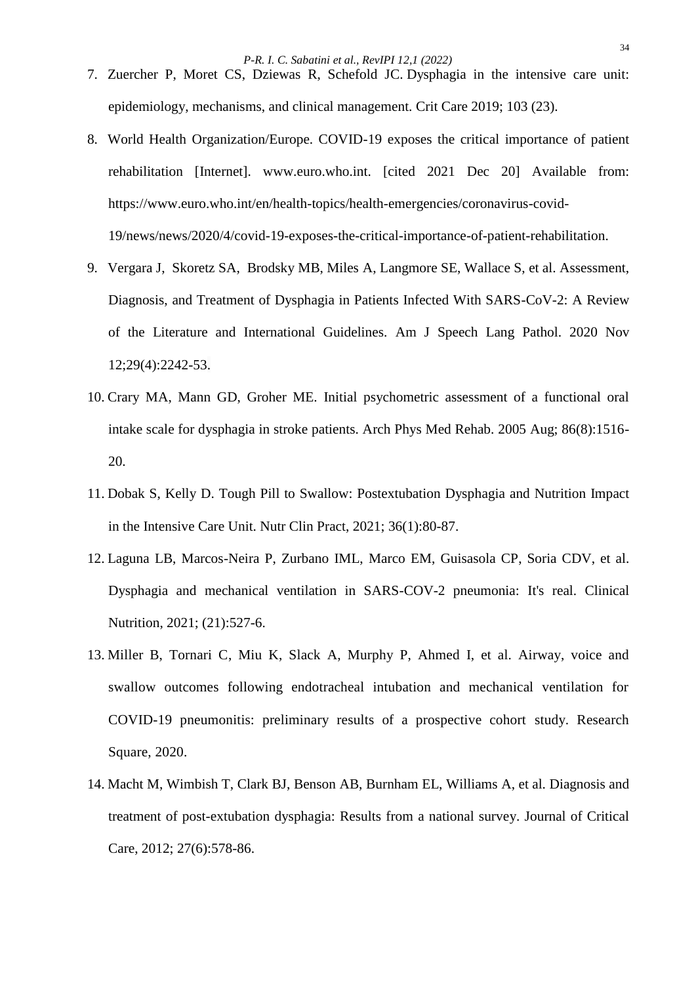*P-R. I. C. Sabatini et al., RevIPI 12,1 (2022)*

- 7. Zuercher P, Moret CS, Dziewas R, Schefold JC. Dysphagia in the intensive care unit: epidemiology, mechanisms, and clinical management. Crit Care 2019; 103 (23).
- 8. World Health Organization/Europe. COVID-19 exposes the critical importance of patient rehabilitation [Internet]. www.euro.who.int. [cited 2021 Dec 20] Available from: https://www.euro.who.int/en/health-topics/health-emergencies/coronavirus-covid-19/news/news/2020/4/covid-19-exposes-the-critical-importance-of-patient-rehabilitation.
- 9. Vergara J, Skoretz SA, Brodsky MB, Miles A, Langmore SE, Wallace S, et al. Assessment, Diagnosis, and Treatment of Dysphagia in Patients Infected With SARS-CoV-2: A Review of the Literature and International Guidelines. Am J Speech Lang Pathol. 2020 Nov 12;29(4):2242-53.
- 10. Crary MA, Mann GD, Groher ME. Initial psychometric assessment of a functional oral intake scale for dysphagia in stroke patients. Arch Phys Med Rehab. 2005 Aug; 86(8):1516- 20.
- 11. Dobak S, Kelly D. Tough Pill to Swallow: Postextubation Dysphagia and Nutrition Impact in the Intensive Care Unit. Nutr Clin Pract, 2021; 36(1):80-87.
- 12. Laguna LB, Marcos-Neira P, Zurbano IML, Marco EM, Guisasola CP, Soria CDV, et al. Dysphagia and mechanical ventilation in SARS-COV-2 pneumonia: It's real. Clinical Nutrition, 2021; (21):527-6.
- 13. Miller B, Tornari C, Miu K, Slack A, Murphy P, Ahmed I, et al. Airway, voice and swallow outcomes following endotracheal intubation and mechanical ventilation for COVID-19 pneumonitis: preliminary results of a prospective cohort study. Research Square, 2020.
- 14. Macht M, Wimbish T, Clark BJ, Benson AB, Burnham EL, Williams A, et al. Diagnosis and treatment of post-extubation dysphagia: Results from a national survey. Journal of Critical Care, 2012; 27(6):578-86.